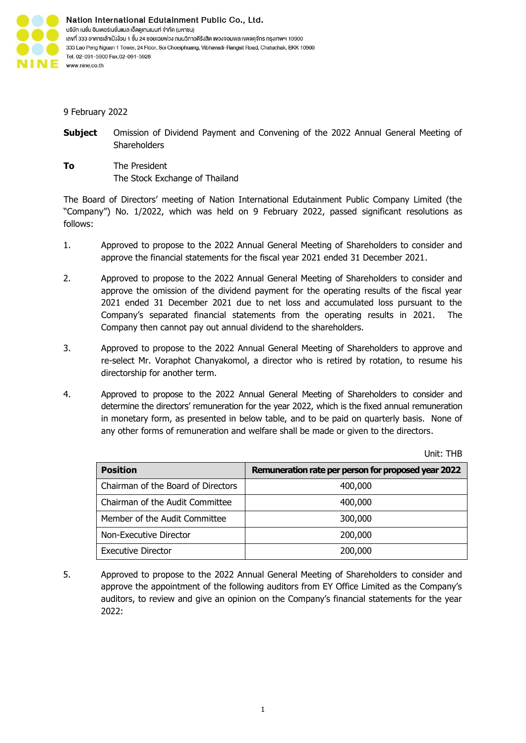

9 February 2022

- **Subject** Omission of Dividend Payment and Convening of the 2022 Annual General Meeting of **Shareholders**
- **To** The President The Stock Exchange of Thailand

The Board of Directors' meeting of Nation International Edutainment Public Company Limited (the "Company") No. 1/2022, which was held on 9 February 2022, passed significant resolutions as follows:

- 1. Approved to propose to the 2022 Annual General Meeting of Shareholders to consider and approve the financial statements for the fiscal year 2021 ended 31 December 2021.
- 2. Approved to propose to the 2022 Annual General Meeting of Shareholders to consider and approve the omission of the dividend payment for the operating results of the fiscal year 2021 ended 31 December 2021 due to net loss and accumulated loss pursuant to the Company's separated financial statements from the operating results in 2021. The Company then cannot pay out annual dividend to the shareholders.
- 3. Approved to propose to the 2022 Annual General Meeting of Shareholders to approve and re-select Mr. Voraphot Chanyakomol, a director who is retired by rotation, to resume his directorship for another term.
- 4. Approved to propose to the 2022 Annual General Meeting of Shareholders to consider and determine the directors' remuneration for the year 2022, which is the fixed annual remuneration in monetary form, as presented in below table, and to be paid on quarterly basis. None of any other forms of remuneration and welfare shall be made or given to the directors.

| <b>Position</b>                    | Remuneration rate per person for proposed year 2022 |
|------------------------------------|-----------------------------------------------------|
| Chairman of the Board of Directors | 400,000                                             |
| Chairman of the Audit Committee    | 400,000                                             |
| Member of the Audit Committee      | 300,000                                             |
| Non-Executive Director             | 200,000                                             |
| <b>Executive Director</b>          | 200,000                                             |

5. Approved to propose to the 2022 Annual General Meeting of Shareholders to consider and approve the appointment of the following auditors from EY Office Limited as the Company's auditors, to review and give an opinion on the Company's financial statements for the year 2022:

Unit: THB